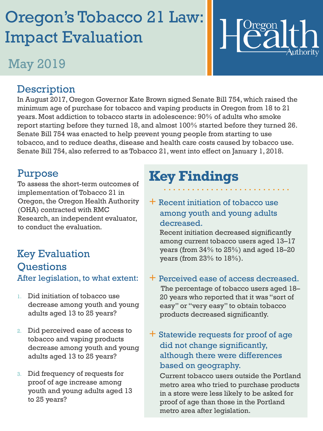# Oregon's Tobacco 21 Law: Impact Evaluation

## May 2019



#### **Description**

In August 2017, Oregon Governor Kate Brown signed Senate Bill 754, which raised the minimum age of purchase for tobacco and vaping products in Oregon from 18 to 21 years. Most addiction to tobacco starts in adolescence: 90% of adults who smoke report starting before they turned 18, and almost 100% started before they turned 26. Senate Bill 754 was enacted to help prevent young people from starting to use tobacco, and to reduce deaths, disease and health care costs caused by tobacco use. Senate Bill 754, also referred to as Tobacco 21, went into effect on January 1, 2018.

#### Purpose

To assess the short-term outcomes of implementation of Tobacco 21 in Oregon, the Oregon Health Authority (OHA) contracted with RMC Research, an independent evaluator, to conduct the evaluation.

#### Key Evaluation **Ouestions** After legislation, to what extent:

- 1. Did initiation of tobacco use decrease among youth and young adults aged 13 to 25 years?
- 2. Did perceived ease of access to tobacco and vaping products decrease among youth and young adults aged 13 to 25 years?
- 3. Did frequency of requests for proof of age increase among youth and young adults aged 13 to 25 years?

## **Key Findings**

 $+$  Recent initiation of tobacco use among youth and young adults decreased.

Recent initiation decreased significantly among current tobacco users aged 13–17 years (from 34% to 25%) and aged 18–20 years (from  $23%$  to  $18%$ ).

#### + Perceived ease of access decreased.

The percentage of tobacco users aged 18– 20 years who reported that it was "sort of easy" or "very easy" to obtain tobacco products decreased significantly.

+ Statewide requests for proof of age did not change significantly, although there were differences based on geography.

Current tobacco users outside the Portland metro area who tried to purchase products in a store were less likely to be asked for proof of age than those in the Portland metro area after legislation.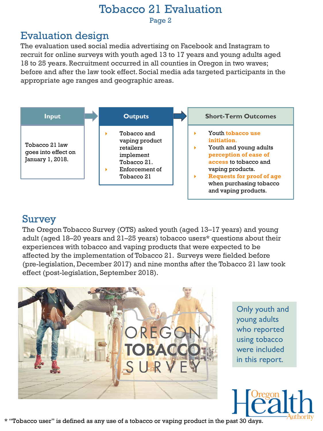#### Tobacco 21 Evaluation Page 2

#### Evaluation design

The evaluation used social media advertising on Facebook and Instagram to recruit for online surveys with youth aged 13 to 17 years and young adults aged 18 to 25 years. Recruitment occurred in all counties in Oregon in two waves; before and after the law took effect. Social media ads targeted participants in the appropriate age ranges and geographic areas.



#### Survey

The Oregon Tobacco Survey (OTS) asked youth (aged 13–17 years) and young adult (aged 18–20 years and 21–25 years) tobacco users\* questions about their experiences with tobacco and vaping products that were expected to be affected by the implementation of Tobacco 21. Surveys were fielded before (pre-legislation, December 2017) and nine months after the Tobacco 21 law took effect (post-legislation, September 2018).



Only youth and young adults who reported using tobacco were included in this report.



\* "Tobacco user" is defined as any use of a tobacco or vaping product in the past 30 days.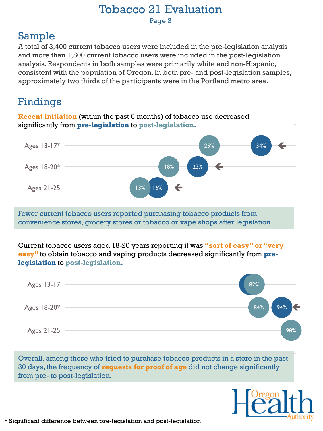#### Tobacco 21 Evaluation Page 3

### Sample

A total of 3,400 current tobacco users were included in the pre-legislation analysis and more than 1,800 current tobacco users were included in the post-legislation analysis. Respondents in both samples were primarily white and non-Hispanic, consistent with the population of Oregon. In both pre- and post-legislation samples, approximately two thirds of the participants were in the Portland metro area.

### Findings

**Recent initiation** (within the past 6 months) of tobacco use decreased significantly from **pre-legislation** to **post-legislation.**



Fewer current tobacco users reported purchasing tobacco products from convenience stores, grocery stores or tobacco or vape shops after legislation.

Current tobacco users aged 18-20 years reporting it was **"sort of easy" or "very easy"** to obtain tobacco and vaping products decreased significantly from **prelegislation** to **post-legislation.**

| Ages 13-17  | 82%                       |
|-------------|---------------------------|
| Ages 18-20* | $94%$ $\leftarrow$<br>84% |
| Ages 21-25  | 98%                       |

Overall, among those who tried to purchase tobacco products in a store in the past 30 days, the frequency of **requests for proof of age** did not change significantly from pre- to post-legislation.